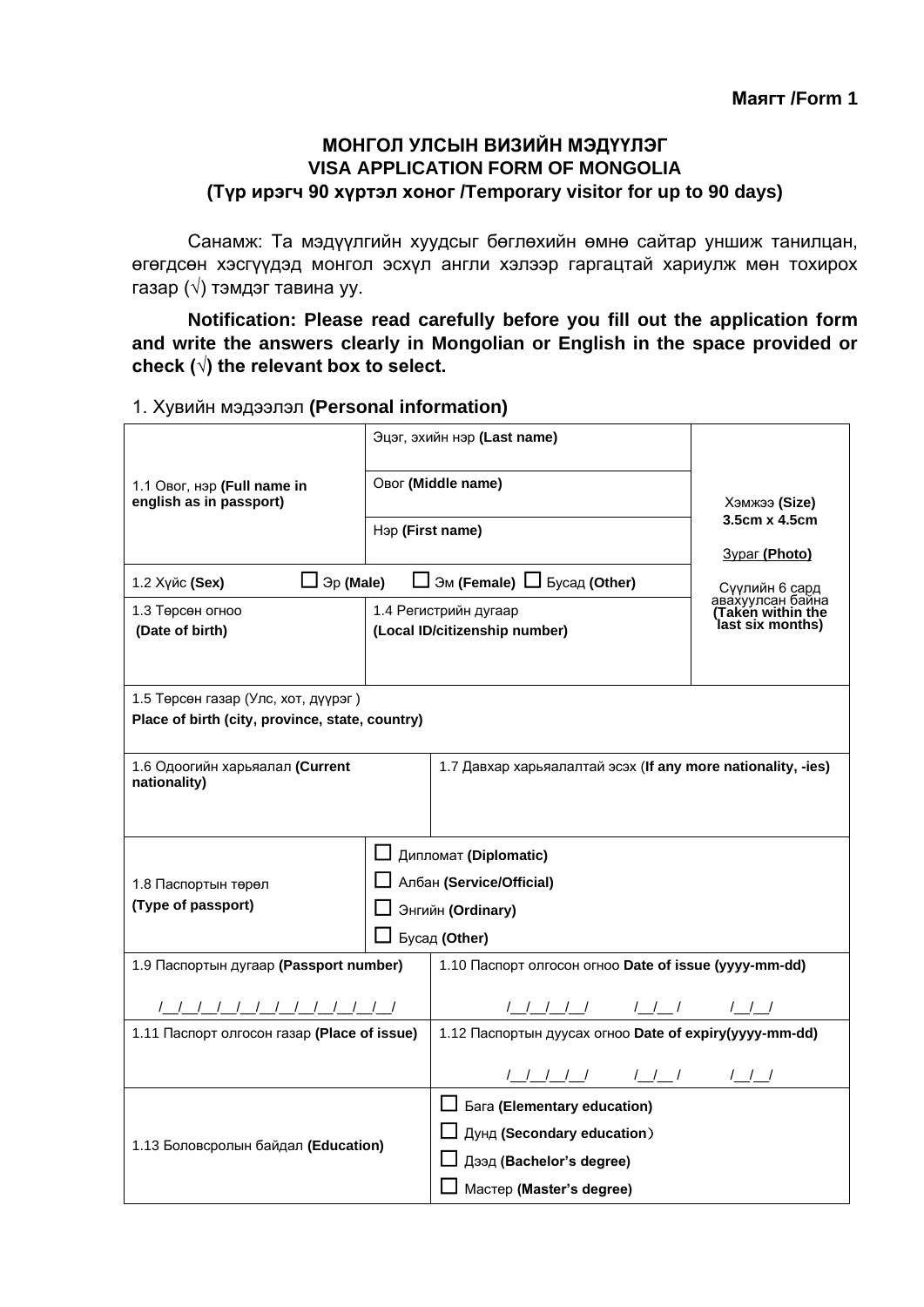## **МОНГОЛ УЛСЫН ВИЗИЙН МЭДҮҮЛЭГ VISA APPLICATION FORM OF MONGOLIA (Түр ирэгч 90 хүртэл хоног /Temporary visitor for up to 90 days)**

Санамж: Та мэдүүлгийн хуудсыг бөглөхийн өмнө сайтар уншиж танилцан, өгөгдсөн хэсгүүдэд монгол эсхүл англи хэлээр гаргацтай хариулж мөн тохирох газар (√) тэмдэг тавина уу.

**Notification: Please read carefully before you fill out the application form and write the answers clearly in Mongolian or English in the space provided or check (√) the relevant box to select.** 

### 1. Хувийн мэдээлэл **(Personal information)**

|                                                        | Эцэг, эхийн нэр (Last name) |                                                              | Хэмжээ <b>(Size)</b>                                   |  |
|--------------------------------------------------------|-----------------------------|--------------------------------------------------------------|--------------------------------------------------------|--|
| 1.1 Овог, нэр (Full name in<br>english as in passport) | Овог (Middle name)          |                                                              |                                                        |  |
| Нэр (First name)                                       |                             |                                                              | 3.5cm x 4.5cm                                          |  |
| $\Box$ $\Im p$ (Male)<br>1.2 Хүйс (Sex)                |                             | $\Box$ Эм (Female) $\Box$ Бусад (Other)                      | <b>3ypar (Photo)</b>                                   |  |
| 1.3 Төрсөн огноо                                       |                             | 1.4 Регистрийн дугаар                                        | Сүүлийн 6 сард<br>авахуулсан байна<br>Taken within the |  |
| (Date of birth)                                        |                             | (Local ID/citizenship number)                                | last six months)                                       |  |
|                                                        |                             |                                                              |                                                        |  |
| 1.5 Төрсөн газар (Улс, хот, дүүрэг)                    |                             |                                                              |                                                        |  |
| Place of birth (city, province, state, country)        |                             |                                                              |                                                        |  |
| 1.6 Одоогийн харьяалал (Current<br>nationality)        |                             | 1.7 Давхар харьяалалтай эсэх (If any more nationality, -ies) |                                                        |  |
|                                                        |                             |                                                              |                                                        |  |
|                                                        |                             | <u> </u> Дипломат (Diplomatic)                               |                                                        |  |
| 1.8 Паспортын төрөл                                    |                             | □ Албан (Service/Official)                                   |                                                        |  |
| (Type of passport)                                     |                             | □ Энгийн (Ordinary)                                          |                                                        |  |
|                                                        |                             | $\Box$ Бусад (Other)                                         |                                                        |  |
| 1.9 Паспортын дугаар (Passport number)                 |                             | 1.10 Паспорт олгосон огноо Date of issue (уууу-mm-dd)        |                                                        |  |
|                                                        |                             |                                                              |                                                        |  |
| 1.11 Паспорт олгосон газар (Place of issue)            |                             | 1.12 Паспортын дуусах огноо Date of expiry(уууу-mm-dd)       |                                                        |  |
|                                                        |                             |                                                              |                                                        |  |
|                                                        |                             | $\Box$ Бага (Elementary education)                           |                                                        |  |
| 1.13 Боловсролын байдал (Education)                    |                             | Дунд (Secondary education)                                   |                                                        |  |
|                                                        |                             | Дээд (Bachelor's degree)                                     |                                                        |  |
|                                                        |                             | Мастер (Master's degree)                                     |                                                        |  |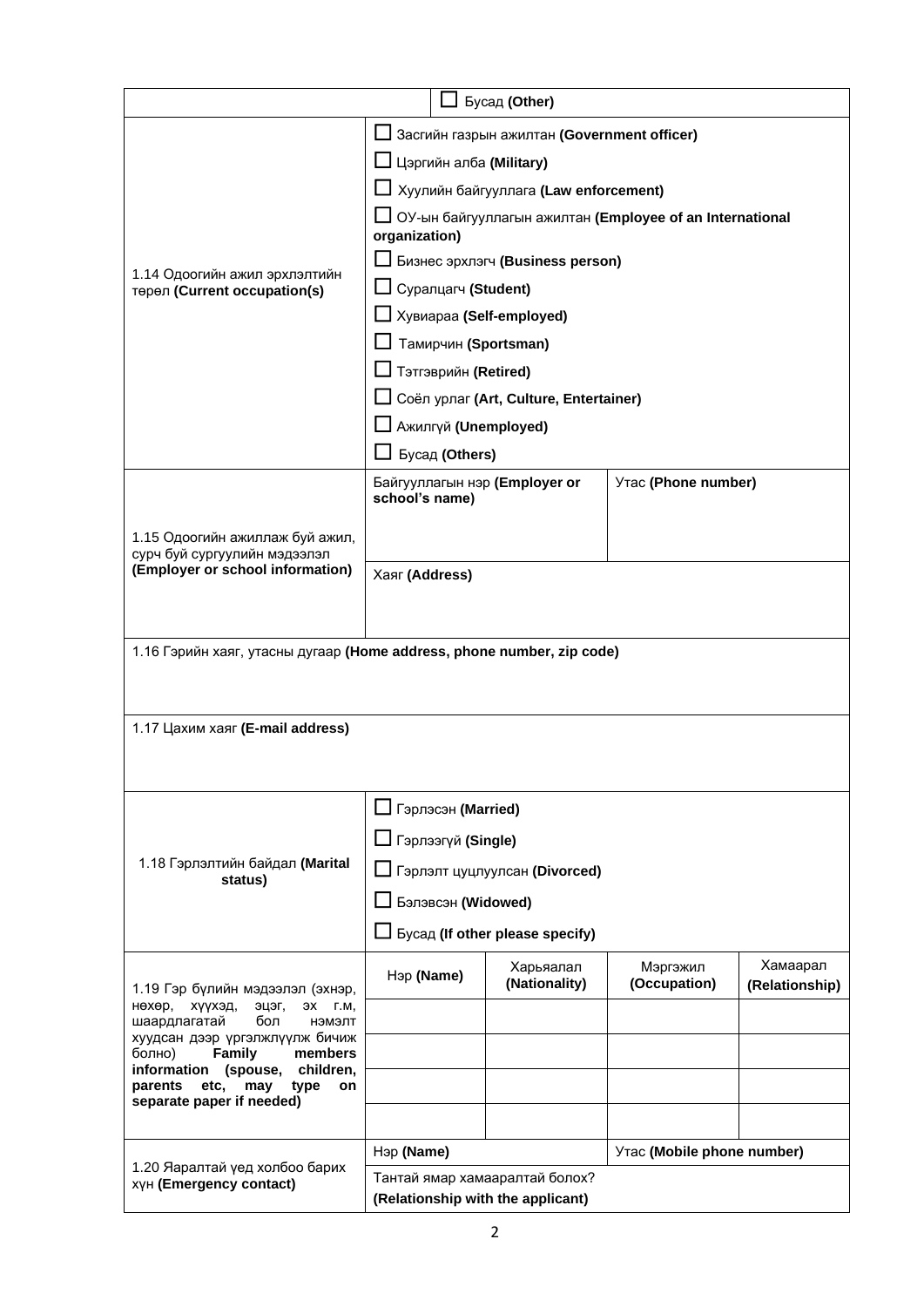|                                                                           | Бусад (Other)                                                       |                                          |                                                          |                |  |
|---------------------------------------------------------------------------|---------------------------------------------------------------------|------------------------------------------|----------------------------------------------------------|----------------|--|
| Засгийн газрын ажилтан (Government officer)                               |                                                                     |                                          |                                                          |                |  |
|                                                                           | Цэргийн алба (Military)                                             |                                          |                                                          |                |  |
| 1.14 Одоогийн ажил эрхлэлтийн<br>төрөл (Current occupation(s)             | Хуулийн байгууллага (Law enforcement)                               |                                          |                                                          |                |  |
|                                                                           |                                                                     |                                          | ОУ-ын байгууллагын ажилтан (Employee of an International |                |  |
|                                                                           | organization)                                                       |                                          |                                                          |                |  |
|                                                                           | Бизнес эрхлэгч (Business person)                                    |                                          |                                                          |                |  |
|                                                                           | □ Суралцагч (Student)                                               |                                          |                                                          |                |  |
|                                                                           | □ Хувиараа (Self-employed)                                          |                                          |                                                          |                |  |
|                                                                           | Тамирчин (Sportsman)<br>П Тэтгэврийн (Retired)                      |                                          |                                                          |                |  |
|                                                                           |                                                                     | □ Соёл урлаг (Art, Culture, Entertainer) |                                                          |                |  |
|                                                                           | Ажилгүй (Unemployed)                                                |                                          |                                                          |                |  |
|                                                                           | Бусад (Others)                                                      |                                          |                                                          |                |  |
|                                                                           | Байгууллагын нэр (Employer or                                       |                                          | Утас (Phone number)                                      |                |  |
|                                                                           | school's name)                                                      |                                          |                                                          |                |  |
| 1.15 Одоогийн ажиллаж буй ажил,                                           |                                                                     |                                          |                                                          |                |  |
| сурч буй сургуулийн мэдээлэл<br>(Employer or school information)          |                                                                     |                                          |                                                          |                |  |
|                                                                           | Хаяг (Address)                                                      |                                          |                                                          |                |  |
|                                                                           |                                                                     |                                          |                                                          |                |  |
| 1.16 Гэрийн хаяг, утасны дугаар (Home address, phone number, zip code)    |                                                                     |                                          |                                                          |                |  |
|                                                                           |                                                                     |                                          |                                                          |                |  |
|                                                                           |                                                                     |                                          |                                                          |                |  |
| 1.17 Цахим хаяг (E-mail address)                                          |                                                                     |                                          |                                                          |                |  |
|                                                                           |                                                                     |                                          |                                                          |                |  |
|                                                                           |                                                                     |                                          |                                                          |                |  |
|                                                                           | П Гэрлэсэн (Married)                                                |                                          |                                                          |                |  |
|                                                                           | <b>I</b> Гэрлээгүй (Single)                                         |                                          |                                                          |                |  |
| 1.18 Гэрлэлтийн байдал (Marital<br>status)                                | Гэрлэлт цуцлуулсан (Divorced)                                       |                                          |                                                          |                |  |
|                                                                           | Бэлэвсэн (Widowed)                                                  |                                          |                                                          |                |  |
|                                                                           | Бусад (If other please specify)                                     |                                          |                                                          |                |  |
|                                                                           | Нэр (Name)                                                          | Харьяалал                                | Мэргэжил                                                 | Хамаарал       |  |
| 1.19 Гэр бүлийн мэдээлэл (эхнэр,                                          |                                                                     | (Nationality)                            | (Occupation)                                             | (Relationship) |  |
| эцэг,<br>нөхөр, хүүхэд,<br>ЭХ Г.М.<br>шаардлагатай<br>бол<br>нэмэлт       |                                                                     |                                          |                                                          |                |  |
| хуудсан дээр үргэлжлүүлж бичиж<br>Family<br>болно)<br>members             |                                                                     |                                          |                                                          |                |  |
| information (spouse,<br>children,<br>etc.<br>parents<br>may<br>type<br>on |                                                                     |                                          |                                                          |                |  |
| separate paper if needed)                                                 |                                                                     |                                          |                                                          |                |  |
|                                                                           |                                                                     |                                          |                                                          |                |  |
| 1.20 Яаралтай үед холбоо барих                                            | Утас (Mobile phone number)<br>Нэр (Name)                            |                                          |                                                          |                |  |
| XYH (Emergency contact)                                                   | Тантай ямар хамааралтай болох?<br>(Relationship with the applicant) |                                          |                                                          |                |  |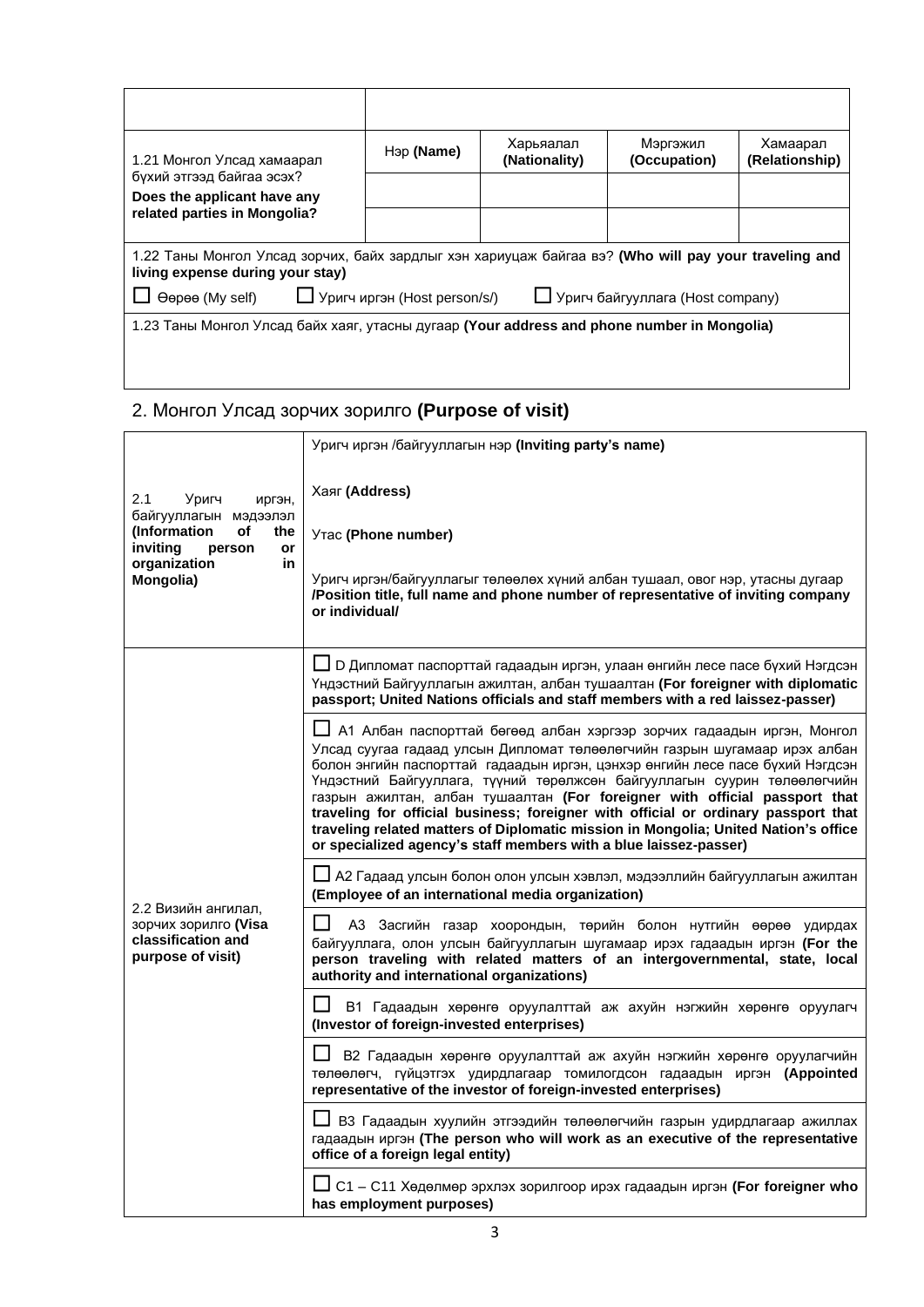| 1.21 Монгол Улсад хамаарал<br>бүхий этгээд байгаа эсэх?<br>Does the applicant have any                                                   | Нэр (Name) | Харьяалал<br>(Nationality) | Мэргэжил<br>(Occupation) | Хамаарал<br>(Relationship) |
|------------------------------------------------------------------------------------------------------------------------------------------|------------|----------------------------|--------------------------|----------------------------|
|                                                                                                                                          |            |                            |                          |                            |
| related parties in Mongolia?                                                                                                             |            |                            |                          |                            |
|                                                                                                                                          |            |                            |                          |                            |
| 1.22 Таны Монгол Улсад зорчих, байх зардлыг хэн хариуцаж байгаа вэ? (Who will pay your traveling and<br>living expense during your stay) |            |                            |                          |                            |
| $\Box$ Уригч иргэн (Host person/s/)<br>U Уригч байгууллага (Host company)<br>Oepee (My self)                                             |            |                            |                          |                            |
| 1.23 Таны Монгол Улсад байх хаяг, утасны дугаар (Your address and phone number in Mongolia)                                              |            |                            |                          |                            |
|                                                                                                                                          |            |                            |                          |                            |

# 2. Монгол Улсад зорчих зорилго **(Purpose of visit)**

|                                                                                                                                             | Уригч иргэн /байгууллагын нэр (Inviting party's name)                                                                                                                                                                                                                                                                                                                                                                                                                                                                                                                                                                                               |  |  |
|---------------------------------------------------------------------------------------------------------------------------------------------|-----------------------------------------------------------------------------------------------------------------------------------------------------------------------------------------------------------------------------------------------------------------------------------------------------------------------------------------------------------------------------------------------------------------------------------------------------------------------------------------------------------------------------------------------------------------------------------------------------------------------------------------------------|--|--|
| 2.1<br>Уригч<br>иргэн,<br>байгууллагын мэдээлэл<br>(Information<br>of<br>the<br>inviting<br>person<br>or<br>organization<br>in<br>Mongolia) | Хаяг (Address)<br>Утас (Phone number)<br>Уригч иргэн/байгууллагыг төлөөлөх хүний албан тушаал, овог нэр, утасны дугаар<br>/Position title, full name and phone number of representative of inviting company<br>or individual/                                                                                                                                                                                                                                                                                                                                                                                                                       |  |  |
|                                                                                                                                             | ∐ D Дипломат паспорттай гадаадын иргэн, улаан өнгийн лесе пасе бүхий Нэгдсэн<br>Үндэстний Байгууллагын ажилтан, албан тушаалтан (For foreigner with diplomatic<br>passport; United Nations officials and staff members with a red laissez-passer)                                                                                                                                                                                                                                                                                                                                                                                                   |  |  |
|                                                                                                                                             | ∐ А1 Албан паспорттай бөгөөд албан хэргээр зорчих гадаадын иргэн, Монгол<br>Улсад суугаа гадаад улсын Дипломат төлөөлөгчийн газрын шугамаар ирэх албан<br>болон энгийн паспорттай гадаадын иргэн, цэнхэр өнгийн лесе пасе бүхий Нэгдсэн<br>Үндэстний Байгууллага, түүний төрөлжсөн байгууллагын суурин төлөөлөгчийн<br>газрын ажилтан, албан тушаалтан (For foreigner with official passport that<br>traveling for official business; foreigner with official or ordinary passport that<br>traveling related matters of Diplomatic mission in Mongolia; United Nation's office<br>or specialized agency's staff members with a blue laissez-passer) |  |  |
| 2.2 Визийн ангилал,<br>зорчих зорилго (Visa<br>classification and<br>purpose of visit)                                                      | Ш А2 Гадаад улсын болон олон улсын хэвлэл, мэдээллийн байгууллагын ажилтан<br>(Employee of an international media organization)                                                                                                                                                                                                                                                                                                                                                                                                                                                                                                                     |  |  |
|                                                                                                                                             | АЗ Засгийн газар хоорондын, төрийн болон нутгийн өөрөө удирдах<br>байгууллага, олон улсын байгууллагын шугамаар ирэх гадаадын иргэн (For the<br>person traveling with related matters of an intergovernmental, state, local<br>authority and international organizations)                                                                                                                                                                                                                                                                                                                                                                           |  |  |
|                                                                                                                                             | В1 Гадаадын хөрөнгө оруулалттай аж ахуйн нэгжийн хөрөнгө оруулагч<br>(Investor of foreign-invested enterprises)                                                                                                                                                                                                                                                                                                                                                                                                                                                                                                                                     |  |  |
|                                                                                                                                             | В2 Гадаадын хөрөнгө оруулалттай аж ахуйн нэгжийн хөрөнгө оруулагчийн<br>төлөөлөгч, гүйцэтгэх удирдлагаар томилогдсон гадаадын иргэн (Appointed<br>representative of the investor of foreign-invested enterprises)                                                                                                                                                                                                                                                                                                                                                                                                                                   |  |  |
|                                                                                                                                             | $\Box$ В3 Гадаадын хуулийн этгээдийн төлөөлөгчийн газрын удирдлагаар ажиллах<br>гадаадын иргэн (The person who will work as an executive of the representative<br>office of a foreign legal entity)                                                                                                                                                                                                                                                                                                                                                                                                                                                 |  |  |
|                                                                                                                                             | $\bigsqcup$ C1 – C11 Хөдөлмөр эрхлэх зорилгоор ирэх гадаадын иргэн <b>(For foreigner who</b><br>has employment purposes)                                                                                                                                                                                                                                                                                                                                                                                                                                                                                                                            |  |  |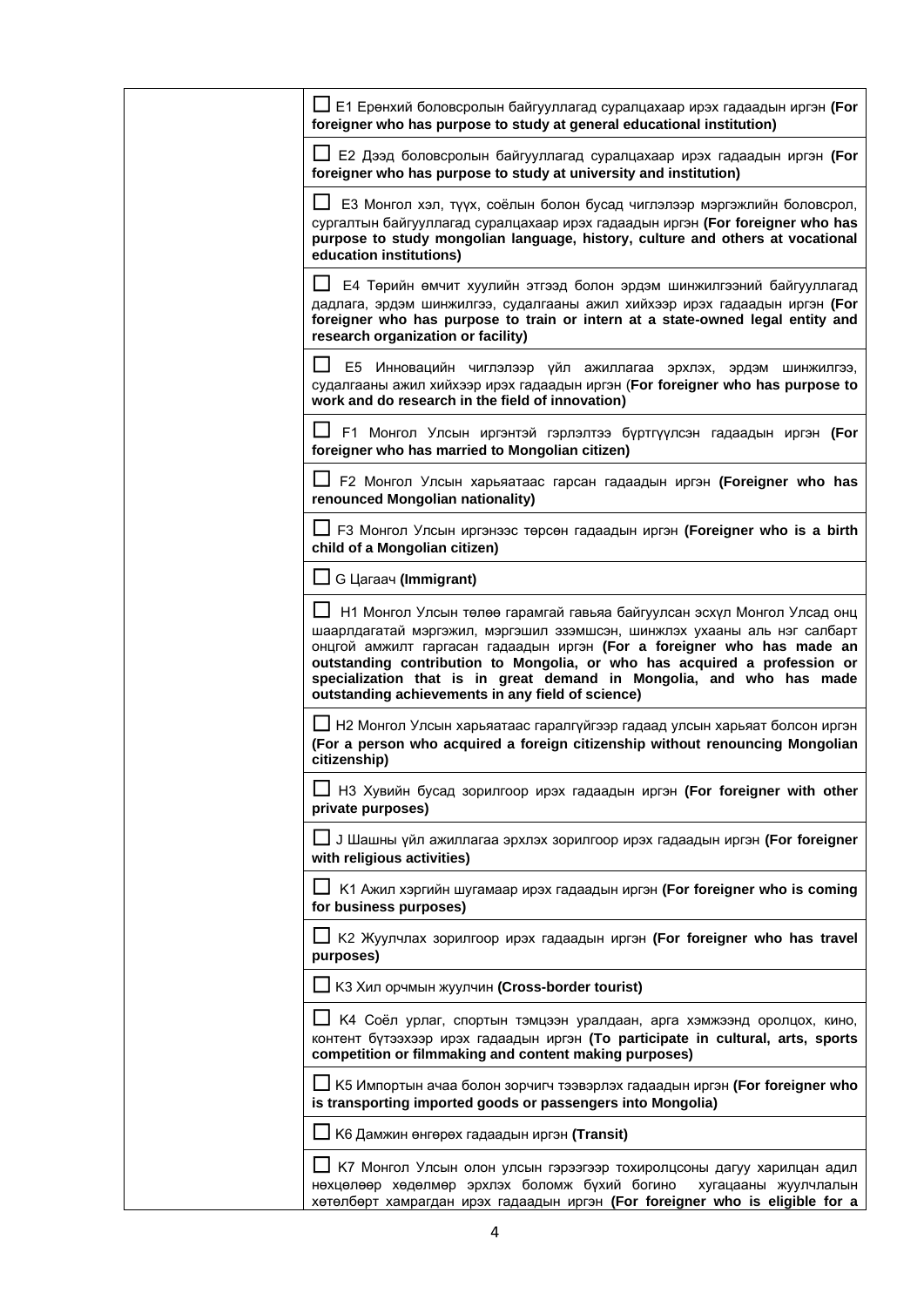| LJ E1 Ерөнхий боловсролын байгууллагад суралцахаар ирэх гадаадын иргэн (For<br>foreigner who has purpose to study at general educational institution)                                                                                                                                                                                                                                                                                   |
|-----------------------------------------------------------------------------------------------------------------------------------------------------------------------------------------------------------------------------------------------------------------------------------------------------------------------------------------------------------------------------------------------------------------------------------------|
| ∐ Е2 Дээд боловсролын байгууллагад суралцахаар ирэх гадаадын иргэн (For<br>foreigner who has purpose to study at university and institution)                                                                                                                                                                                                                                                                                            |
| ЕЗ Монгол хэл, түүх, соёлын болон бусад чиглэлээр мэргэжлийн боловсрол,<br>сургалтын байгууллагад суралцахаар ирэх гадаадын иргэн (For foreigner who has<br>purpose to study mongolian language, history, culture and others at vocational<br>education institutions)                                                                                                                                                                   |
| Е4 Төрийн өмчит хуулийн этгээд болон эрдэм шинжилгээний байгууллагад<br>дадлага, эрдэм шинжилгээ, судалгааны ажил хийхээр ирэх гадаадын иргэн (For<br>foreigner who has purpose to train or intern at a state-owned legal entity and<br>research organization or facility)                                                                                                                                                              |
| E <sub>5</sub><br>Инновацийн чиглэлээр үйл ажиллагаа эрхлэх, эрдэм шинжилгээ,<br>судалгааны ажил хийхээр ирэх гадаадын иргэн (For foreigner who has purpose to<br>work and do research in the field of innovation)                                                                                                                                                                                                                      |
| ∐ F1 Монгол Улсын иргэнтэй гэрлэлтээ бүртгүүлсэн гадаадын иргэн <b>(For</b><br>foreigner who has married to Mongolian citizen)                                                                                                                                                                                                                                                                                                          |
| F2 Монгол Улсын харьяатаас гарсан гадаадын иргэн (Foreigner who has<br>renounced Mongolian nationality)                                                                                                                                                                                                                                                                                                                                 |
| □ F3 Монгол Улсын иргэнээс төрсөн гадаадын иргэн (Foreigner who is a birth<br>child of a Mongolian citizen)                                                                                                                                                                                                                                                                                                                             |
| $\Box$ G $\Box$ G $\Box$ G $\Box$ $\Box$ $\Box$ $\Box$                                                                                                                                                                                                                                                                                                                                                                                  |
| Н1 Монгол Улсын төлөө гарамгай гавьяа байгуулсан эсхүл Монгол Улсад онц<br>шаарлдагатай мэргэжил, мэргэшил эзэмшсэн, шинжлэх ухааны аль нэг салбарт<br>онцгой амжилт гаргасан гадаадын иргэн (For a foreigner who has made an<br>outstanding contribution to Mongolia, or who has acquired a profession or<br>specialization that is in great demand in Mongolia, and who has made<br>outstanding achievements in any field of science) |
| ∐ Н2 Монгол Улсын харьяатаас гаралгүйгээр гадаад улсын харьяат болсон иргэн<br>(For a person who acquired a foreign citizenship without renouncing Mongolian<br>citizenship)                                                                                                                                                                                                                                                            |
| НЗ Хувийн бусад зорилгоор ирэх гадаадын иргэн (For foreigner with other<br>private purposes)                                                                                                                                                                                                                                                                                                                                            |
| J Шашны үйл ажиллагаа эрхлэх зорилгоор ирэх гадаадын иргэн (For foreigner<br>with religious activities)                                                                                                                                                                                                                                                                                                                                 |
| К1 Ажил хэргийн шугамаар ирэх гадаадын иргэн (For foreigner who is coming<br>for business purposes)                                                                                                                                                                                                                                                                                                                                     |
| К2 Жуулчлах зорилгоор ирэх гадаадын иргэн (For foreigner who has travel<br>purposes)                                                                                                                                                                                                                                                                                                                                                    |
| $\Box$ КЗ Хил орчмын жуулчин (Cross-border tourist)                                                                                                                                                                                                                                                                                                                                                                                     |
| К4 Соёл урлаг, спортын тэмцээн уралдаан, арга хэмжээнд оролцох, кино,<br>контент бүтээхээр ирэх гадаадын иргэн (To participate in cultural, arts, sports<br>competition or filmmaking and content making purposes)                                                                                                                                                                                                                      |
| К5 Импортын ачаа болон зорчигч тээвэрлэх гадаадын иргэн (For foreigner who<br>is transporting imported goods or passengers into Mongolia)                                                                                                                                                                                                                                                                                               |
| К6 Дамжин өнгөрөх гадаадын иргэн (Transit)                                                                                                                                                                                                                                                                                                                                                                                              |
| нөхцөлөөр хөдөлмөр эрхлэх боломж бүхий богино<br>хугацааны жуулчлалын<br>хөтөлбөрт хамрагдан ирэх гадаадын иргэн (For foreigner who is eligible for a                                                                                                                                                                                                                                                                                   |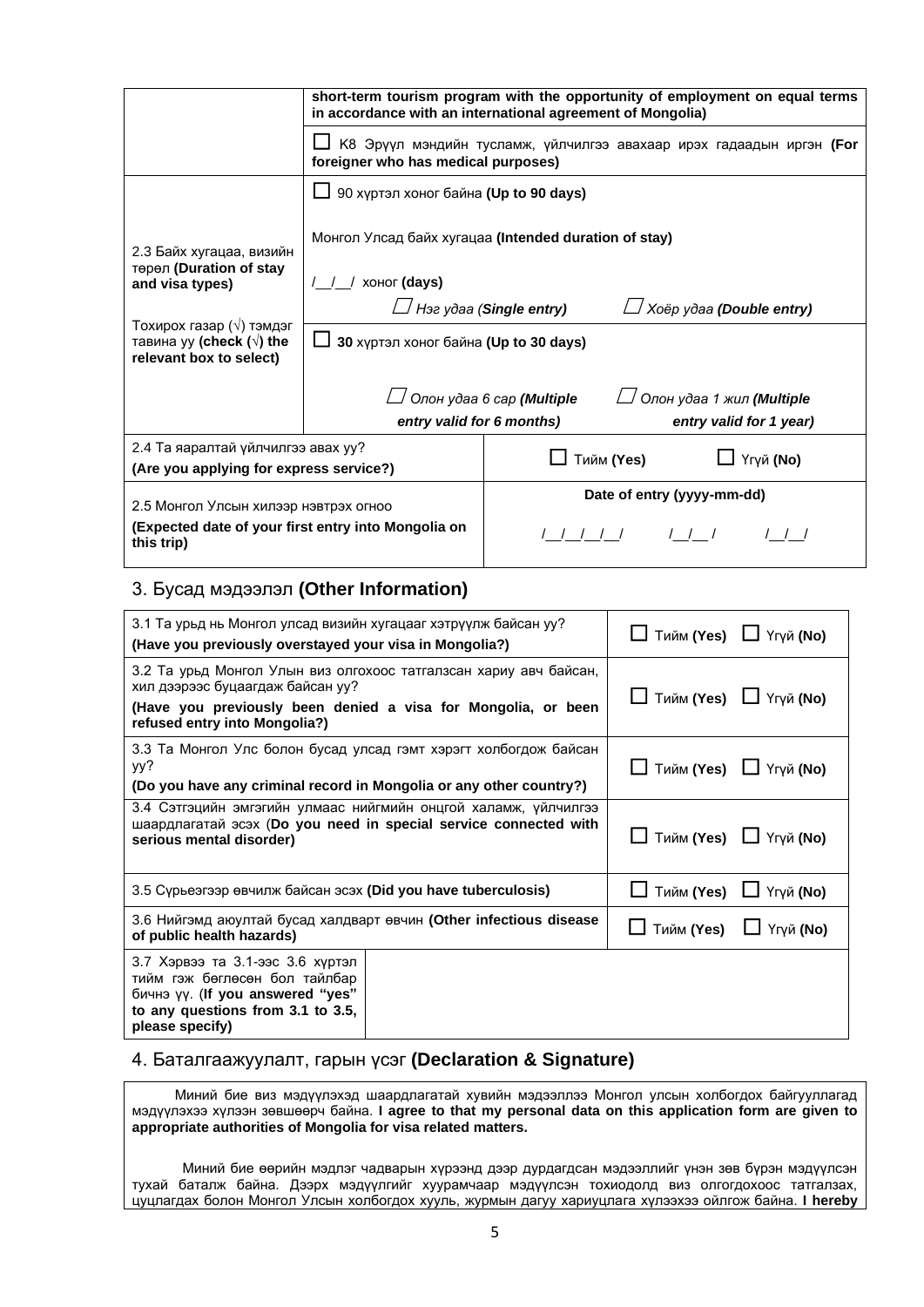|                                                                                                            | short-term tourism program with the opportunity of employment on equal terms<br>in accordance with an international agreement of Mongolia) |                                                                                     |  |  |  |
|------------------------------------------------------------------------------------------------------------|--------------------------------------------------------------------------------------------------------------------------------------------|-------------------------------------------------------------------------------------|--|--|--|
|                                                                                                            | К8 Эрүүл мэндийн тусламж, үйлчилгээ авахаар ирэх гадаадын иргэн (For<br>foreigner who has medical purposes)                                |                                                                                     |  |  |  |
|                                                                                                            | 90 хүртэл хоног байна (Up to 90 days)                                                                                                      |                                                                                     |  |  |  |
| 2.3 Байх хугацаа, визийн<br>төрөл (Duration of stay                                                        | Монгол Улсад байх хугацаа (Intended duration of stay)                                                                                      |                                                                                     |  |  |  |
| and visa types)                                                                                            | хоног (days)                                                                                                                               |                                                                                     |  |  |  |
|                                                                                                            | $\Box$ Нэг удаа (Single entry)<br>│ Хоёр удаа ( <b>Double entry)</b>                                                                       |                                                                                     |  |  |  |
| Тохирох газар $(\sqrt{})$ тэмдэг<br>тавина уу (check $(\sqrt{})$ the<br>relevant box to select)            | 30 хүртэл хоног байна (Up to 30 days)                                                                                                      |                                                                                     |  |  |  |
|                                                                                                            | entry valid for 6 months)                                                                                                                  | Олон удаа 6 сар (Multiple<br>∐ Олон удаа 1 жил (Multiple<br>entry valid for 1 year) |  |  |  |
| 2.4 Та яаралтай үйлчилгээ авах уу?                                                                         |                                                                                                                                            |                                                                                     |  |  |  |
| (Are you applying for express service?)                                                                    |                                                                                                                                            | Үгүй (No)<br>Тийм (Yes)                                                             |  |  |  |
| 2.5 Монгол Улсын хилээр нэвтрэх огноо<br>(Expected date of your first entry into Mongolia on<br>this trip) |                                                                                                                                            | Date of entry (yyyy-mm-dd)                                                          |  |  |  |
|                                                                                                            |                                                                                                                                            |                                                                                     |  |  |  |

## 3. Бусад мэдээлэл **(Other Information)**

| 3.1 Та урьд нь Монгол улсад визийн хугацааг хэтрүүлж байсан уу?<br>(Have you previously overstayed your visa in Mongolia?)                                                                              | Тийм (Yes) □ Үгүй (No)      |  |
|---------------------------------------------------------------------------------------------------------------------------------------------------------------------------------------------------------|-----------------------------|--|
| 3.2 Та урьд Монгол Улын виз олгохоос татгалзсан хариу авч байсан,<br>хил дээрээс буцаагдаж байсан уу?<br>(Have you previously been denied a visa for Mongolia, or been<br>refused entry into Mongolia?) | Тийм (Yes) □ Үгүй (No)      |  |
| 3.3 Та Монгол Улс болон бусад улсад гэмт хэрэгт холбогдож байсан<br>yy?<br>(Do you have any criminal record in Mongolia or any other country?)                                                          | Тийм (Yes) □ Үгүй (No)      |  |
| 3.4 Сэтгэцийн эмгэгийн улмаас нийгмийн онцгой халамж, үйлчилгээ<br>шаардлагатай эсэх (Do you need in special service connected with<br>serious mental disorder)                                         | Тийм (Yes) ■ Үгүй (No)      |  |
| 3.5 Сурьеэгээр өвчилж байсан эсэх (Did you have tuberculosis)                                                                                                                                           | Тийм (Yes) [ Үгүй (No)      |  |
| 3.6 Нийгэмд аюултай бусад халдварт өвчин (Other infectious disease<br>of public health hazards)                                                                                                         | Тийм (Yes) $\Box$ Үгүй (No) |  |
| 3.7 Хэрвээ та 3.1-ээс 3.6 хүртэл<br>тийм гэж бөглөсөн бол тайлбар<br>бичнэ үү. (If you answered "yes"<br>to any questions from 3.1 to 3.5,<br>please specify)                                           |                             |  |

#### 4. Баталгаажуулалт, гарын үсэг **(Declaration & Signature)**

 Миний бие виз мэдүүлэхэд шаардлагатай хувийн мэдээллээ Монгол улсын холбогдох байгууллагад мэдүүлэхээ хүлээн зөвшөөрч байна. **I agree to that my personal data on this application form are given to appropriate authorities of Mongolia for visa related matters.**

 Миний бие өөрийн мэдлэг чадварын хүрээнд дээр дурдагдсан мэдээллийг үнэн зөв бүрэн мэдүүлсэн тухай баталж байна. Дээрх мэдүүлгийг хуурамчаар мэдүүлсэн тохиодолд виз олгогдохоос татгалзах, цуцлагдах болон Монгол Улсын холбогдох хууль, журмын дагуу хариуцлага хүлээхээ ойлгож байна. **I hereby**